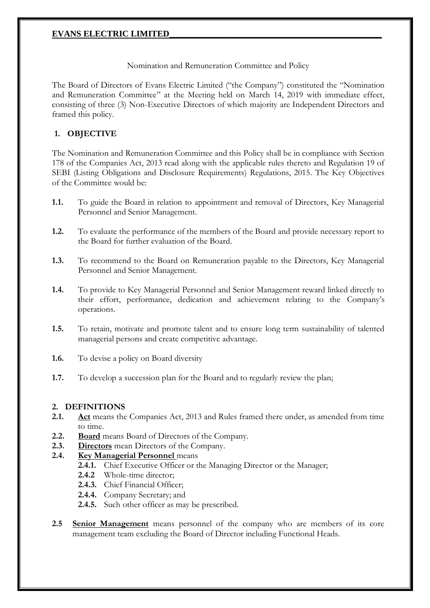### Nomination and Remuneration Committee and Policy

The Board of Directors of Evans Electric Limited ("the Company") constituted the "Nomination and Remuneration Committee" at the Meeting held on March 14, 2019 with immediate effect, consisting of three (3) Non-Executive Directors of which majority are Independent Directors and framed this policy.

# **1. OBJECTIVE**

The Nomination and Remuneration Committee and this Policy shall be in compliance with Section 178 of the Companies Act, 2013 read along with the applicable rules thereto and Regulation 19 of SEBI (Listing Obligations and Disclosure Requirements) Regulations, 2015. The Key Objectives of the Committee would be:

- **1.1.** To guide the Board in relation to appointment and removal of Directors, Key Managerial Personnel and Senior Management.
- **1.2.** To evaluate the performance of the members of the Board and provide necessary report to the Board for further evaluation of the Board.
- **1.3.** To recommend to the Board on Remuneration payable to the Directors, Key Managerial Personnel and Senior Management.
- **1.4.** To provide to Key Managerial Personnel and Senior Management reward linked directly to their effort, performance, dedication and achievement relating to the Company's operations.
- **1.5.** To retain, motivate and promote talent and to ensure long term sustainability of talented managerial persons and create competitive advantage.
- **1.6.** To devise a policy on Board diversity
- **1.7.** To develop a succession plan for the Board and to regularly review the plan;

# **2. DEFINITIONS**

- **2.1. Act** means the Companies Act, 2013 and Rules framed there under, as amended from time to time.
- **2.2. Board** means Board of Directors of the Company.
- **2.3. Directors** mean Directors of the Company.

# **2.4. Key Managerial Personnel** means

- **2.4.1.** Chief Executive Officer or the Managing Director or the Manager;
- **2.4.2** Whole-time director;
- **2.4.3.** Chief Financial Officer;
- **2.4.4.** Company Secretary; and
- **2.4.5.** Such other officer as may be prescribed.
- **2.5 Senior Management** means personnel of the company who are members of its core management team excluding the Board of Director including Functional Heads.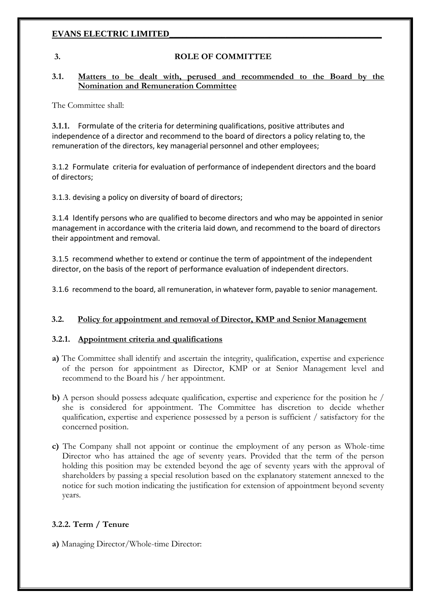### **3. ROLE OF COMMITTEE**

#### **3.1. Matters to be dealt with, perused and recommended to the Board by the Nomination and Remuneration Committee**

The Committee shall:

**3.1.1.** Formulate of the criteria for determining qualifications, positive attributes and independence of a director and recommend to the board of directors a policy relating to, the remuneration of the directors, key managerial personnel and other employees;

3.1.2 Formulate criteria for evaluation of performance of independent directors and the board of directors;

3.1.3. devising a policy on diversity of board of directors;

3.1.4 Identify persons who are qualified to become directors and who may be appointed in senior management in accordance with the criteria laid down, and recommend to the board of directors their appointment and removal.

3.1.5 recommend whether to extend or continue the term of appointment of the independent director, on the basis of the report of performance evaluation of independent directors.

3.1.6 recommend to the board, all remuneration, in whatever form, payable to senior management.

## **3.2. Policy for appointment and removal of Director, KMP and Senior Management**

#### **3.2.1. Appointment criteria and qualifications**

- **a)** The Committee shall identify and ascertain the integrity, qualification, expertise and experience of the person for appointment as Director, KMP or at Senior Management level and recommend to the Board his / her appointment.
- **b)** A person should possess adequate qualification, expertise and experience for the position he / she is considered for appointment. The Committee has discretion to decide whether qualification, expertise and experience possessed by a person is sufficient / satisfactory for the concerned position.
- **c)** The Company shall not appoint or continue the employment of any person as Whole-time Director who has attained the age of seventy years. Provided that the term of the person holding this position may be extended beyond the age of seventy years with the approval of shareholders by passing a special resolution based on the explanatory statement annexed to the notice for such motion indicating the justification for extension of appointment beyond seventy years.

## **3.2.2. Term / Tenure**

**a)** Managing Director/Whole-time Director: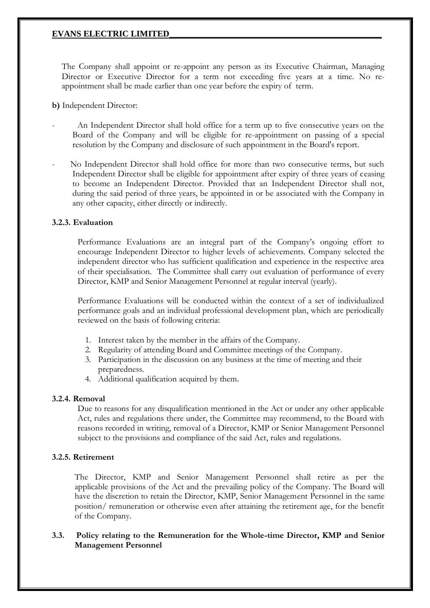The Company shall appoint or re-appoint any person as its Executive Chairman, Managing Director or Executive Director for a term not exceeding five years at a time. No reappointment shall be made earlier than one year before the expiry of term.

**b)** Independent Director:

- An Independent Director shall hold office for a term up to five consecutive years on the Board of the Company and will be eligible for re-appointment on passing of a special resolution by the Company and disclosure of such appointment in the Board's report.
- No Independent Director shall hold office for more than two consecutive terms, but such Independent Director shall be eligible for appointment after expiry of three years of ceasing to become an Independent Director. Provided that an Independent Director shall not, during the said period of three years, be appointed in or be associated with the Company in any other capacity, either directly or indirectly.

#### **3.2.3. Evaluation**

Performance Evaluations are an integral part of the Company's ongoing effort to encourage Independent Director to higher levels of achievements. Company selected the independent director who has sufficient qualification and experience in the respective area of their specialisation. The Committee shall carry out evaluation of performance of every Director, KMP and Senior Management Personnel at regular interval (yearly).

Performance Evaluations will be conducted within the context of a set of individualized performance goals and an individual professional development plan, which are periodically reviewed on the basis of following criteria:

- 1. Interest taken by the member in the affairs of the Company.
- 2. Regularity of attending Board and Committee meetings of the Company.
- 3. Participation in the discussion on any business at the time of meeting and their preparedness.
- 4. Additional qualification acquired by them.

#### **3.2.4. Removal**

Due to reasons for any disqualification mentioned in the Act or under any other applicable Act, rules and regulations there under, the Committee may recommend, to the Board with reasons recorded in writing, removal of a Director, KMP or Senior Management Personnel subject to the provisions and compliance of the said Act, rules and regulations.

## **3.2.5. Retirement**

The Director, KMP and Senior Management Personnel shall retire as per the applicable provisions of the Act and the prevailing policy of the Company. The Board will have the discretion to retain the Director, KMP, Senior Management Personnel in the same position/ remuneration or otherwise even after attaining the retirement age, for the benefit of the Company.

## **3.3. Policy relating to the Remuneration for the Whole-time Director, KMP and Senior Management Personnel**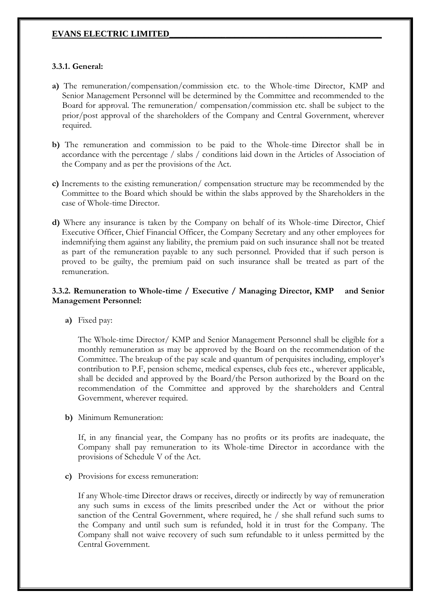#### **3.3.1. General:**

- **a)** The remuneration/compensation/commission etc. to the Whole-time Director, KMP and Senior Management Personnel will be determined by the Committee and recommended to the Board for approval. The remuneration/ compensation/commission etc. shall be subject to the prior/post approval of the shareholders of the Company and Central Government, wherever required.
- **b)** The remuneration and commission to be paid to the Whole-time Director shall be in accordance with the percentage / slabs / conditions laid down in the Articles of Association of the Company and as per the provisions of the Act.
- **c)** Increments to the existing remuneration/ compensation structure may be recommended by the Committee to the Board which should be within the slabs approved by the Shareholders in the case of Whole-time Director.
- **d)** Where any insurance is taken by the Company on behalf of its Whole-time Director, Chief Executive Officer, Chief Financial Officer, the Company Secretary and any other employees for indemnifying them against any liability, the premium paid on such insurance shall not be treated as part of the remuneration payable to any such personnel. Provided that if such person is proved to be guilty, the premium paid on such insurance shall be treated as part of the remuneration.

## **3.3.2. Remuneration to Whole-time / Executive / Managing Director, KMP and Senior Management Personnel:**

**a)** Fixed pay:

The Whole-time Director/ KMP and Senior Management Personnel shall be eligible for a monthly remuneration as may be approved by the Board on the recommendation of the Committee. The breakup of the pay scale and quantum of perquisites including, employer's contribution to P.F, pension scheme, medical expenses, club fees etc., wherever applicable, shall be decided and approved by the Board/the Person authorized by the Board on the recommendation of the Committee and approved by the shareholders and Central Government, wherever required.

**b)** Minimum Remuneration:

If, in any financial year, the Company has no profits or its profits are inadequate, the Company shall pay remuneration to its Whole-time Director in accordance with the provisions of Schedule V of the Act.

**c)** Provisions for excess remuneration:

If any Whole-time Director draws or receives, directly or indirectly by way of remuneration any such sums in excess of the limits prescribed under the Act or without the prior sanction of the Central Government, where required, he / she shall refund such sums to the Company and until such sum is refunded, hold it in trust for the Company. The Company shall not waive recovery of such sum refundable to it unless permitted by the Central Government.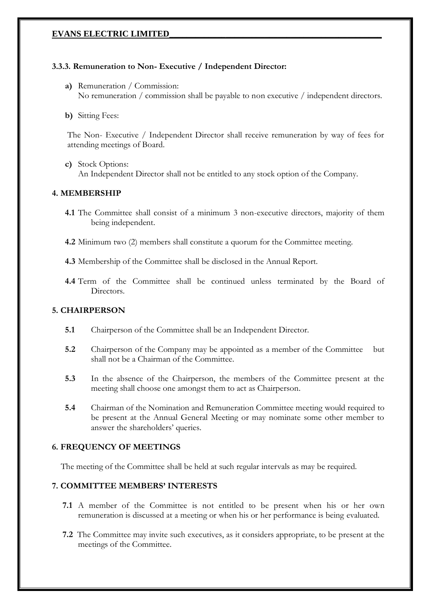## **3.3.3. Remuneration to Non- Executive / Independent Director:**

- **a)** Remuneration / Commission: No remuneration / commission shall be payable to non executive / independent directors.
- **b)** Sitting Fees:

The Non- Executive / Independent Director shall receive remuneration by way of fees for attending meetings of Board.

**c)** Stock Options: An Independent Director shall not be entitled to any stock option of the Company.

## **4. MEMBERSHIP**

- **4.1** The Committee shall consist of a minimum 3 non-executive directors, majority of them being independent.
- **4.2** Minimum two (2) members shall constitute a quorum for the Committee meeting.

**4.3** Membership of the Committee shall be disclosed in the Annual Report.

**4.4** Term of the Committee shall be continued unless terminated by the Board of Directors.

## **5. CHAIRPERSON**

- **5.1** Chairperson of the Committee shall be an Independent Director.
- **5.2** Chairperson of the Company may be appointed as a member of the Committee but shall not be a Chairman of the Committee.
- **5.3** In the absence of the Chairperson, the members of the Committee present at the meeting shall choose one amongst them to act as Chairperson.
- **5.4** Chairman of the Nomination and Remuneration Committee meeting would required to be present at the Annual General Meeting or may nominate some other member to answer the shareholders' queries.

## **6. FREQUENCY OF MEETINGS**

The meeting of the Committee shall be held at such regular intervals as may be required.

# **7. COMMITTEE MEMBERS' INTERESTS**

- **7.1** A member of the Committee is not entitled to be present when his or her own remuneration is discussed at a meeting or when his or her performance is being evaluated.
- **7.2** The Committee may invite such executives, as it considers appropriate, to be present at the meetings of the Committee.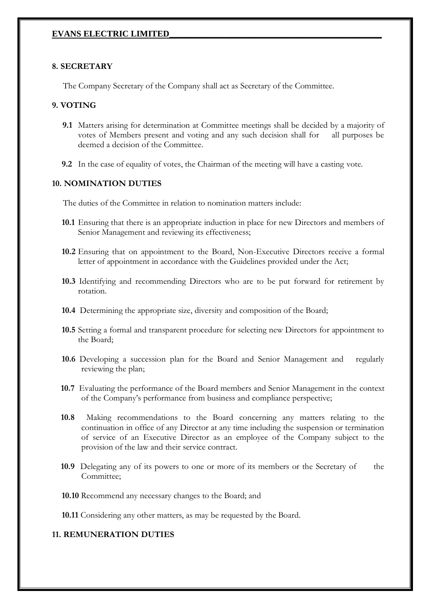#### **8. SECRETARY**

The Company Secretary of the Company shall act as Secretary of the Committee.

## **9. VOTING**

- **9.1** Matters arising for determination at Committee meetings shall be decided by a majority of votes of Members present and voting and any such decision shall for all purposes be deemed a decision of the Committee.
- **9.2** In the case of equality of votes, the Chairman of the meeting will have a casting vote.

## **10. NOMINATION DUTIES**

The duties of the Committee in relation to nomination matters include:

- **10.1** Ensuring that there is an appropriate induction in place for new Directors and members of Senior Management and reviewing its effectiveness;
- **10.2** Ensuring that on appointment to the Board, Non-Executive Directors receive a formal letter of appointment in accordance with the Guidelines provided under the Act;
- **10.3** Identifying and recommending Directors who are to be put forward for retirement by rotation.
- **10.4** Determining the appropriate size, diversity and composition of the Board;
- **10.5** Setting a formal and transparent procedure for selecting new Directors for appointment to the Board;
- **10.6** Developing a succession plan for the Board and Senior Management and regularly reviewing the plan;
- **10.7** Evaluating the performance of the Board members and Senior Management in the context of the Company's performance from business and compliance perspective;
- **10.8** Making recommendations to the Board concerning any matters relating to the continuation in office of any Director at any time including the suspension or termination of service of an Executive Director as an employee of the Company subject to the provision of the law and their service contract.
- **10.9** Delegating any of its powers to one or more of its members or the Secretary of the Committee;
- **10.10** Recommend any necessary changes to the Board; and
- **10.11** Considering any other matters, as may be requested by the Board.

# **11. REMUNERATION DUTIES**